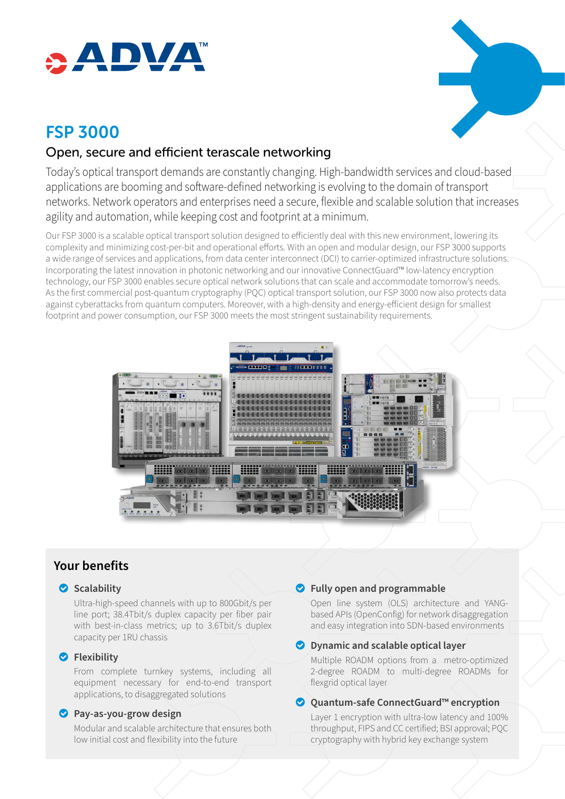

# FSP 3000

## Open, secure and efficient terascale networking

Today's optical transport demands are constantly changing. High-bandwidth services and cloud-based applications are booming and software-defined networking is evolving to the domain of transport networks. Network operators and enterprises need a secure, flexible and scalable solution that increases agility and automation, while keeping cost and footprint at a minimum.

Our FSP 3000 is a scalable optical transport solution designed to efficiently deal with this new environment, lowering its complexity and minimizing cost-per-bit and operational efforts. With an open and modular design, our FSP 3000 supports a wide range of services and applications, from data center interconnect (DCI) to carrier-optimized infrastructure solutions. Incorporating the latest innovation in photonic networking and our innovative ConnectGuard™ low-latency encryption technology, our FSP 3000 enables secure optical network solutions that can scale and accommodate tomorrow's needs. As the first commercial post-quantum cryptography (PQC) optical transport solution, our FSP 3000 now also protects data against cyberattacks from quantum computers. Moreover, with a high-density and energy-efficient design for smallest footprint and power consumption, our FSP 3000 meets the most stringent sustainability requirements.



## **Your benefits**

#### o **Scalability**

Ultra-high-speed channels with up to 800Gbit/s per line port; 38.4Tbit/s duplex capacity per fiber pair with best-in-class metrics; up to 3.6Tbit/s duplex capacity per 1RU chassis

#### o **Flexibility**

From complete turnkey systems, including all equipment necessary for end-to-end transport applications, to disaggregated solutions

#### o **Pay-as-you-grow design**

Modular and scalable architecture that ensures both low initial cost and flexibility into the future

#### o **Fully open and programmable**

Open line system (OLS) architecture and YANGbased APIs (OpenConfig) for network disaggregation and easy integration into SDN-based environments

#### o **Dynamic and scalable optical layer**

Multiple ROADM options from a metro-optimized 2-degree ROADM to multi-degree ROADMs for flexgrid optical layer

#### **◯ Ouantum-safe ConnectGuard™ encryption**

Layer 1 encryption with ultra-low latency and 100% throughput, FIPS and CC certified; BSI approval; PQC cryptography with hybrid key exchange system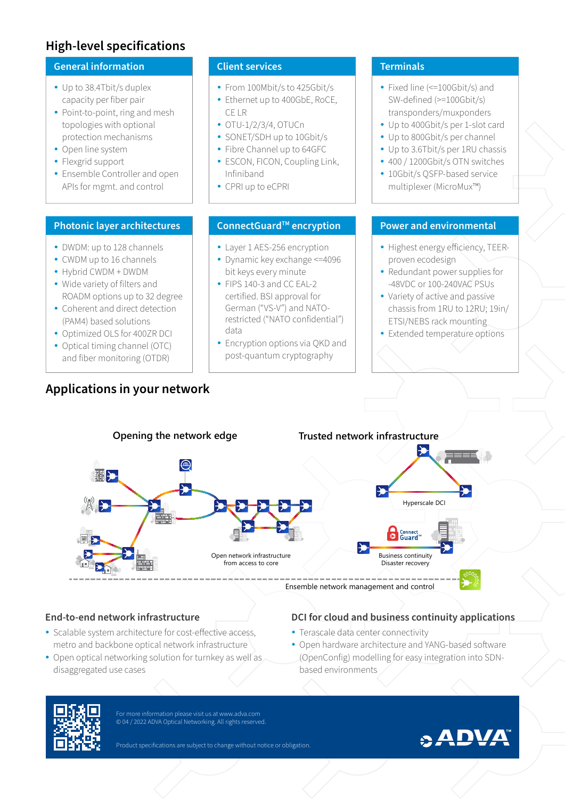## **High-level specifications**

#### **General information**

- Up to 38.4Tbit/s duplex capacity per fiber pair
- Point-to-point, ring and mesh topologies with optional protection mechanisms
- Open line system
- Flexgrid support
- Ensemble Controller and open APIs for mgmt. and control

#### **Photonic layer architectures**

- DWDM: up to 128 channels
- CWDM up to 16 channels
- y Hybrid CWDM + DWDM
- Wide variety of filters and ROADM options up to 32 degree
- Coherent and direct detection (PAM4) based solutions
- Optimized OLS for 400ZR DCI
- Optical timing channel (OTC) and fiber monitoring (OTDR)

## **Applications in your network**

#### **Client services**

- From 100Mbit/s to 425Gbit/s
- Ethernet up to 400GbE, RoCE, CE LR
- $\bullet$  OTU-1/2/3/4, OTUCn
- SONET/SDH up to 10Gbit/s
- Fibre Channel up to 64GFC
- ESCON, FICON, Coupling Link, Infiniband
- CPRI up to eCPRI

## **ConnectGuard™ encryption**

- Layer 1 AES-256 encryption
- Dynamic key exchange <= 4096 bit keys every minute
- FIPS 140-3 and CC EAL-2 certified. BSI approval for German ("VS-V") and NATOrestricted ("NATO confidential") data
- Encryption options via QKD and post-quantum cryptography

#### **Terminals**

- Fixed line (<=100Gbit/s) and SW-defined (>=100Gbit/s) transponders/muxponders
- Up to 400Gbit/s per 1-slot card
- Up to 800Gbit/s per channel
- Up to 3.6Tbit/s per 1RU chassis
- 400 / 1200Gbit/s OTN switches
- 10Gbit/s OSFP-based service multiplexer (MicroMux™)

## **Power and environmental**

- Highest energy efficiency, TEERproven ecodesign
- Redundant power supplies for -48VDC or 100-240VAC PSUs
- Variety of active and passive chassis from 1RU to 12RU; 19in/ ETSI/NEBS rack mounting
- Extended temperature options



#### **End-to-end network infrastructure**

- Scalable system architecture for cost-effective access, metro and backbone optical network infrastructure
- Open optical networking solution for turnkey as well as disaggregated use cases

## **DCI for cloud and business continuity applications**

- Terascale data center connectivity
- Open hardware architecture and YANG-based software (OpenConfig) modelling for easy integration into SDNbased environments



For more information please visit us at www.adva.com © 04 / 2022 ADVA Optical Networking. All rights reserved.

Product specifications are subject to change without notice or obligation.

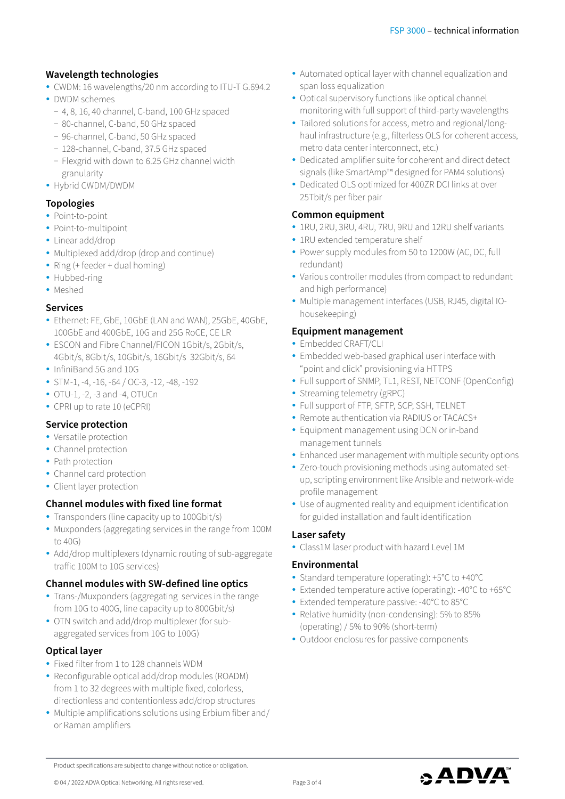## **Wavelength technologies**

- CWDM: 16 wavelengths/20 nm according to ITU-T G.694.2
- DWDM schemes
	- − 4, 8, 16, 40 channel, C-band, 100 GHz spaced
	- − 80-channel, C-band, 50 GHz spaced
	- − 96-channel, C-band, 50 GHz spaced
	- − 128-channel, C-band, 37.5 GHz spaced
- − Flexgrid with down to 6.25 GHz channel width granularity
- Hybrid CWDM/DWDM

## **Topologies**

- Point-to-point
- Point-to-multipoint
- Linear add/drop
- Multiplexed add/drop (drop and continue)
- Ring (+ feeder + dual homing)
- Hubbed-ring
- Meshed

#### **Services**

- y Ethernet: FE, GbE, 10GbE (LAN and WAN), 25GbE, 40GbE, 100GbE and 400GbE, 10G and 25G RoCE, CE LR
- ESCON and Fibre Channel/FICON 1Gbit/s, 2Gbit/s, 4Gbit/s, 8Gbit/s, 10Gbit/s, 16Gbit/s 32Gbit/s, 64
- InfiniBand 5G and 10G
- y STM-1, -4, -16, -64 / OC-3, -12, -48, -192
- $\bullet$  OTU-1, -2, -3 and -4, OTUCn
- CPRI up to rate 10 (eCPRI)

## **Service protection**

- Versatile protection
- Channel protection
- Path protection
- Channel card protection
- Client layer protection

## **Channel modules with fixed line format**

- Transponders (line capacity up to 100Gbit/s)
- Muxponders (aggregating services in the range from 100M to 40G)
- Add/drop multiplexers (dynamic routing of sub-aggregate traffic 100M to 10G services)

#### **Channel modules with SW-defined line optics**

- Trans-/Muxponders (aggregating services in the range from 10G to 400G, line capacity up to 800Gbit/s)
- OTN switch and add/drop multiplexer (for subaggregated services from 10G to 100G)

#### **Optical layer**

- Fixed filter from 1 to 128 channels WDM
- Reconfigurable optical add/drop modules (ROADM) from 1 to 32 degrees with multiple fixed, colorless, directionless and contentionless add/drop structures
- Multiple amplifications solutions using Erbium fiber and/ or Raman amplifiers
- Automated optical layer with channel equalization and span loss equalization
- Optical supervisory functions like optical channel monitoring with full support of third-party wavelengths
- Tailored solutions for access, metro and regional/longhaul infrastructure (e.g., filterless OLS for coherent access, metro data center interconnect, etc.)
- Dedicated amplifier suite for coherent and direct detect signals (like SmartAmp™ designed for PAM4 solutions)
- Dedicated OLS optimized for 400ZR DCI links at over 25Tbit/s per fiber pair

## **Common equipment**

- y 1RU, 2RU, 3RU, 4RU, 7RU, 9RU and 12RU shelf variants
- 1RU extended temperature shelf
- Power supply modules from 50 to 1200W (AC, DC, full redundant)
- Various controller modules (from compact to redundant and high performance)
- Multiple management interfaces (USB, RJ45, digital IOhousekeeping)

## **Equipment management**

- Embedded CRAFT/CLI
- Embedded web-based graphical user interface with "point and click" provisioning via HTTPS
- Full support of SNMP, TL1, REST, NETCONF (OpenConfig)
- Streaming telemetry (gRPC)
- Full support of FTP, SFTP, SCP, SSH, TELNET
- Remote authentication via RADIUS or TACACS+
- Equipment management using DCN or in-band management tunnels
- Enhanced user management with multiple security options
- Zero-touch provisioning methods using automated setup, scripting environment like Ansible and network-wide profile management
- Use of augmented reality and equipment identification for guided installation and fault identification

#### **Laser safety**

• Class1M laser product with hazard Level 1M

#### **Environmental**

- Standard temperature (operating): +5°C to +40°C
- Extended temperature active (operating): -40°C to +65°C
- Extended temperature passive: -40°C to 85°C
- Relative humidity (non-condensing): 5% to 85% (operating) / 5% to 90% (short-term)
- Outdoor enclosures for passive components



Product specifications are subject to change without notice or obligation.